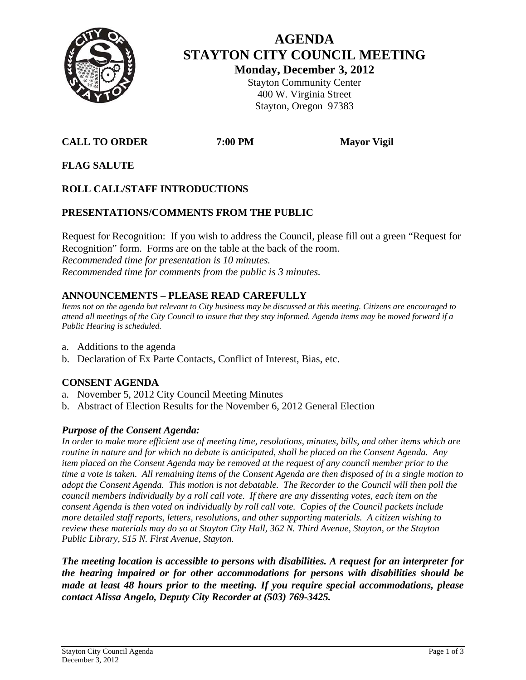

# **AGENDA STAYTON CITY COUNCIL MEETING Monday, December 3, 2012**

Stayton Community Center 400 W. Virginia Street Stayton, Oregon 97383

# **CALL TO ORDER** 7:00 PM Mayor Vigil

**FLAG SALUTE** 

# **ROLL CALL/STAFF INTRODUCTIONS**

# **PRESENTATIONS/COMMENTS FROM THE PUBLIC**

Request for Recognition: If you wish to address the Council, please fill out a green "Request for Recognition" form. Forms are on the table at the back of the room. *Recommended time for presentation is 10 minutes. Recommended time for comments from the public is 3 minutes.* 

# **ANNOUNCEMENTS – PLEASE READ CAREFULLY**

*Items not on the agenda but relevant to City business may be discussed at this meeting. Citizens are encouraged to attend all meetings of the City Council to insure that they stay informed. Agenda items may be moved forward if a Public Hearing is scheduled.* 

- a. Additions to the agenda
- b. Declaration of Ex Parte Contacts, Conflict of Interest, Bias, etc.

#### **CONSENT AGENDA**

- a. November 5, 2012 City Council Meeting Minutes
- b. Abstract of Election Results for the November 6, 2012 General Election

# *Purpose of the Consent Agenda:*

*In order to make more efficient use of meeting time, resolutions, minutes, bills, and other items which are routine in nature and for which no debate is anticipated, shall be placed on the Consent Agenda. Any item placed on the Consent Agenda may be removed at the request of any council member prior to the time a vote is taken. All remaining items of the Consent Agenda are then disposed of in a single motion to adopt the Consent Agenda. This motion is not debatable. The Recorder to the Council will then poll the council members individually by a roll call vote. If there are any dissenting votes, each item on the consent Agenda is then voted on individually by roll call vote. Copies of the Council packets include more detailed staff reports, letters, resolutions, and other supporting materials. A citizen wishing to review these materials may do so at Stayton City Hall, 362 N. Third Avenue, Stayton, or the Stayton Public Library, 515 N. First Avenue, Stayton.* 

*The meeting location is accessible to persons with disabilities. A request for an interpreter for the hearing impaired or for other accommodations for persons with disabilities should be made at least 48 hours prior to the meeting. If you require special accommodations, please contact Alissa Angelo, Deputy City Recorder at (503) 769-3425.*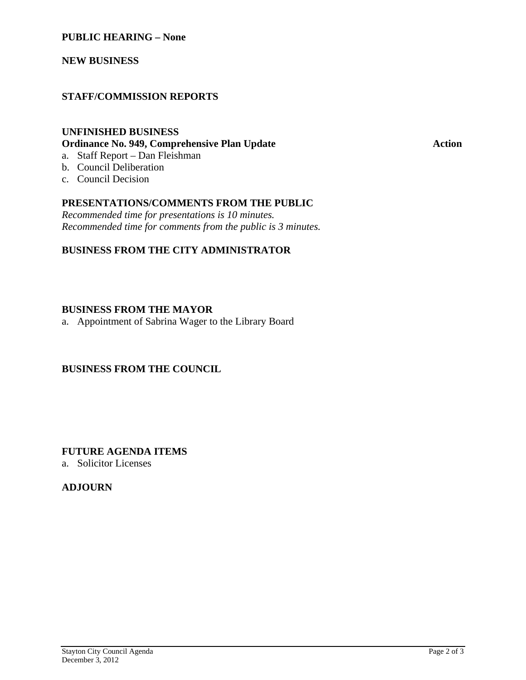#### **PUBLIC HEARING – None**

**NEW BUSINESS** 

### **STAFF/COMMISSION REPORTS**

# **UNFINISHED BUSINESS Ordinance No. 949, Comprehensive Plan Update Action**

- a. Staff Report Dan Fleishman b. Council Deliberation
- c. Council Decision

#### **PRESENTATIONS/COMMENTS FROM THE PUBLIC**

*Recommended time for presentations is 10 minutes. Recommended time for comments from the public is 3 minutes.* 

#### **BUSINESS FROM THE CITY ADMINISTRATOR**

#### **BUSINESS FROM THE MAYOR**

a. Appointment of Sabrina Wager to the Library Board

#### **BUSINESS FROM THE COUNCIL**

**FUTURE AGENDA ITEMS** 

a. Solicitor Licenses

# **ADJOURN**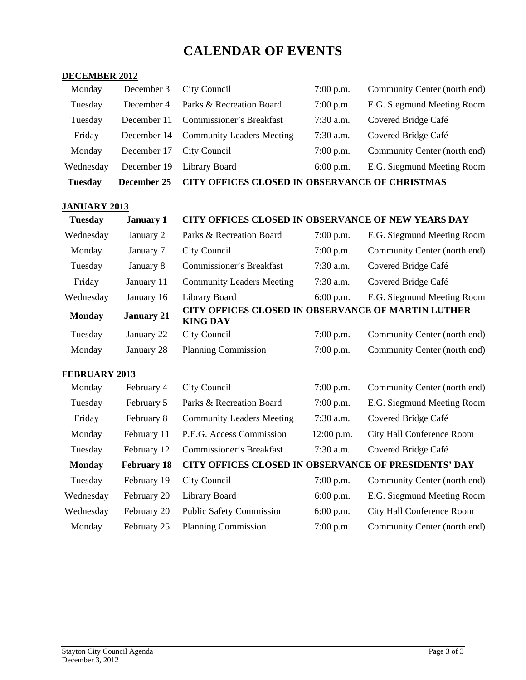# **CALENDAR OF EVENTS**

#### **DECEMBER 2012**

| <b>Tuesday</b> | December 25 | CITY OFFICES CLOSED IN OBSERVANCE OF CHRISTMAS |             |                              |  |  |  |  |
|----------------|-------------|------------------------------------------------|-------------|------------------------------|--|--|--|--|
| Wednesday      |             | December 19 Library Board                      | $6:00$ p.m. | E.G. Siegmund Meeting Room   |  |  |  |  |
| Monday         | December 17 | City Council                                   | $7:00$ p.m. | Community Center (north end) |  |  |  |  |
| Friday         |             | December 14 Community Leaders Meeting          | $7:30$ a.m. | Covered Bridge Café          |  |  |  |  |
| Tuesday        | December 11 | Commissioner's Breakfast                       | $7:30$ a.m. | Covered Bridge Café          |  |  |  |  |
| Tuesday        | December 4  | Parks & Recreation Board                       | $7:00$ p.m. | E.G. Siegmund Meeting Room   |  |  |  |  |
| Monday         | December 3  | City Council                                   | $7:00$ p.m. | Community Center (north end) |  |  |  |  |

#### **JANUARY 2013**

# **Tuesday January 1 CITY OFFICES CLOSED IN OBSERVANCE OF NEW YEARS DAY**

| Wednesday     | January 2         | Parks & Recreation Board                                                     | $7:00$ p.m. | E.G. Siegmund Meeting Room   |
|---------------|-------------------|------------------------------------------------------------------------------|-------------|------------------------------|
| Monday        | January 7         | City Council                                                                 | $7:00$ p.m. | Community Center (north end) |
| Tuesday       | January 8         | <b>Commissioner's Breakfast</b>                                              | $7:30$ a.m. | Covered Bridge Café          |
| Friday        | January 11        | <b>Community Leaders Meeting</b>                                             | $7:30$ a.m. | Covered Bridge Café          |
| Wednesday     | January 16        | Library Board                                                                | $6:00$ p.m. | E.G. Siegmund Meeting Room   |
| <b>Monday</b> | <b>January 21</b> | <b>CITY OFFICES CLOSED IN OBSERVANCE OF MARTIN LUTHER</b><br><b>KING DAY</b> |             |                              |
| Tuesday       | January 22        | City Council                                                                 | $7:00$ p.m. | Community Center (north end) |
| Monday        | January 28        | <b>Planning Commission</b>                                                   | $7:00$ p.m. | Community Center (north end) |

### **FEBRUARY 2013**

| Monday        | February 4         | City Council                                         | 7:00 p.m.    | Community Center (north end) |
|---------------|--------------------|------------------------------------------------------|--------------|------------------------------|
| Tuesday       | February 5         | Parks & Recreation Board                             | $7:00$ p.m.  | E.G. Siegmund Meeting Room   |
| Friday        | February 8         | <b>Community Leaders Meeting</b>                     | $7:30$ a.m.  | Covered Bridge Café          |
| Monday        | February 11        | P.E.G. Access Commission                             | $12:00$ p.m. | City Hall Conference Room    |
| Tuesday       | February 12        | Commissioner's Breakfast                             | $7:30$ a.m.  | Covered Bridge Café          |
|               |                    |                                                      |              |                              |
| <b>Monday</b> | <b>February 18</b> | CITY OFFICES CLOSED IN OBSERVANCE OF PRESIDENTS' DAY |              |                              |
| Tuesday       | February 19        | City Council                                         | $7:00$ p.m.  | Community Center (north end) |
| Wednesday     | February 20        | Library Board                                        | $6:00$ p.m.  | E.G. Siegmund Meeting Room   |
| Wednesday     | February 20        | <b>Public Safety Commission</b>                      | $6:00$ p.m.  | City Hall Conference Room    |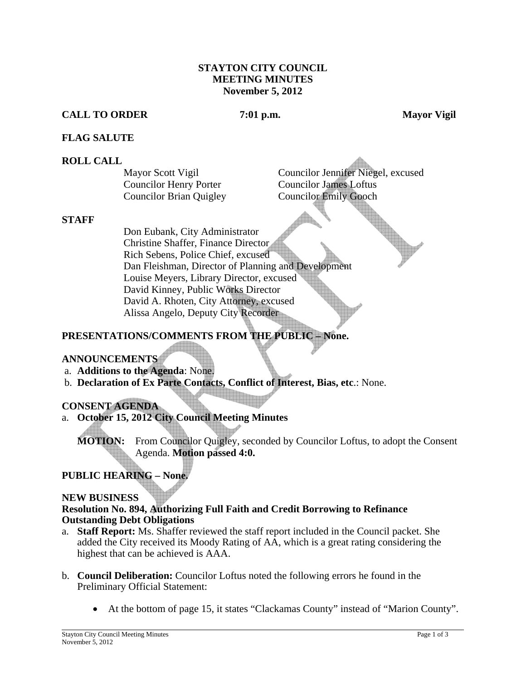#### **STAYTON CITY COUNCIL MEETING MINUTES November 5, 2012**

#### **CALL TO ORDER 7:01 p.m. Mayor Vigil**

#### **FLAG SALUTE**

#### **ROLL CALL**

Councilor Henry Porter Councilor James Loftus Councilor Brian Quigley Councilor Emily Gooch

Mayor Scott Vigil Councilor Jennifer Niegel, excused

#### **STAFF**

Don Eubank, City Administrator Christine Shaffer, Finance Director Rich Sebens, Police Chief, excused Dan Fleishman, Director of Planning and Development Louise Meyers, Library Director, excused David Kinney, Public Works Director David A. Rhoten, City Attorney, excused Alissa Angelo, Deputy City Recorder

# **PRESENTATIONS/COMMENTS FROM THE PUBLIC – None.**

#### **ANNOUNCEMENTS**

- a. **Additions to the Agenda**: None.
- b. **Declaration of Ex Parte Contacts, Conflict of Interest, Bias, etc**.: None.

#### **CONSENT AGENDA**

a. **October 15, 2012 City Council Meeting Minutes** 

**MOTION:** From Councilor Quigley, seconded by Councilor Loftus, to adopt the Consent Agenda. **Motion passed 4:0.**

# **PUBLIC HEARING – None.**

#### **NEW BUSINESS**

#### **Resolution No. 894, Authorizing Full Faith and Credit Borrowing to Refinance Outstanding Debt Obligations**

- a. **Staff Report:** Ms. Shaffer reviewed the staff report included in the Council packet. She added the City received its Moody Rating of AA, which is a great rating considering the highest that can be achieved is AAA.
- b. **Council Deliberation:** Councilor Loftus noted the following errors he found in the Preliminary Official Statement:
	- At the bottom of page 15, it states "Clackamas County" instead of "Marion County".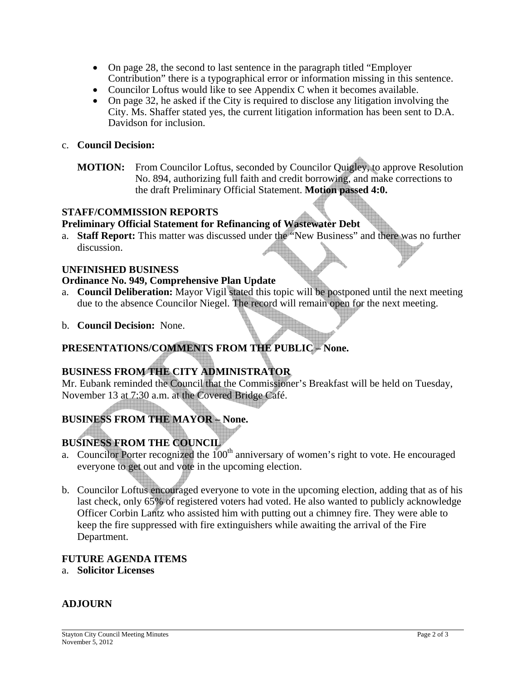- On page 28, the second to last sentence in the paragraph titled "Employer" Contribution" there is a typographical error or information missing in this sentence.
- Councilor Loftus would like to see Appendix C when it becomes available.
- On page 32, he asked if the City is required to disclose any litigation involving the City. Ms. Shaffer stated yes, the current litigation information has been sent to D.A. Davidson for inclusion.

### c. **Council Decision:**

**MOTION:** From Councilor Loftus, seconded by Councilor Quigley, to approve Resolution No. 894, authorizing full faith and credit borrowing, and make corrections to the draft Preliminary Official Statement. **Motion passed 4:0.** 

#### **STAFF/COMMISSION REPORTS**

# **Preliminary Official Statement for Refinancing of Wastewater Debt**

a. **Staff Report:** This matter was discussed under the "New Business" and there was no further discussion.

#### **UNFINISHED BUSINESS**

#### **Ordinance No. 949, Comprehensive Plan Update**

- a. **Council Deliberation:** Mayor Vigil stated this topic will be postponed until the next meeting due to the absence Councilor Niegel. The record will remain open for the next meeting.
- b. **Council Decision:** None.

# **PRESENTATIONS/COMMENTS FROM THE PUBLIC – None.**

# **BUSINESS FROM THE CITY ADMINISTRATOR**

Mr. Eubank reminded the Council that the Commissioner's Breakfast will be held on Tuesday, November 13 at 7:30 a.m. at the Covered Bridge Café.

# **BUSINESS FROM THE MAYOR – None.**

# **BUSINESS FROM THE COUNCIL**

- a. Councilor Porter recognized the  $100<sup>th</sup>$  anniversary of women's right to vote. He encouraged everyone to get out and vote in the upcoming election.
- b. Councilor Loftus encouraged everyone to vote in the upcoming election, adding that as of his last check, only 65% of registered voters had voted. He also wanted to publicly acknowledge Officer Corbin Lantz who assisted him with putting out a chimney fire. They were able to keep the fire suppressed with fire extinguishers while awaiting the arrival of the Fire Department.

#### **FUTURE AGENDA ITEMS**

a. **Solicitor Licenses** 

# **ADJOURN**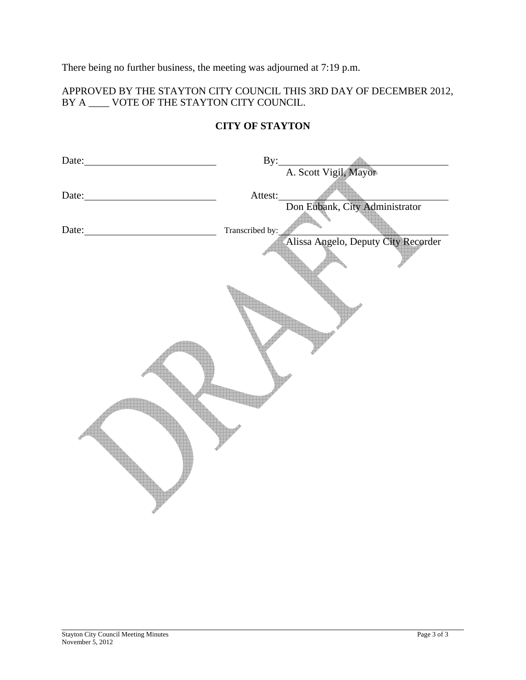There being no further business, the meeting was adjourned at 7:19 p.m.

# APPROVED BY THE STAYTON CITY COUNCIL THIS 3RD DAY OF DECEMBER 2012, BY A \_\_\_\_ VOTE OF THE STAYTON CITY COUNCIL.

| Date: $\qquad \qquad$                                                              |                 |                                     |  |
|------------------------------------------------------------------------------------|-----------------|-------------------------------------|--|
|                                                                                    |                 | By: A. Scott Vigil, Mayor           |  |
| Date:<br><u> 1989 - Johann Barn, mars ar breist bestjoerde te gemeente kommen.</u> | Attest:         |                                     |  |
|                                                                                    |                 | Don Eubank, City Administrator      |  |
| Date: $\sqrt{ }$                                                                   | Transcribed by: |                                     |  |
|                                                                                    |                 | Alissa Angelo, Deputy City Recorder |  |
|                                                                                    |                 |                                     |  |
|                                                                                    |                 |                                     |  |
|                                                                                    |                 |                                     |  |
|                                                                                    |                 |                                     |  |
|                                                                                    |                 |                                     |  |

# **CITY OF STAYTON**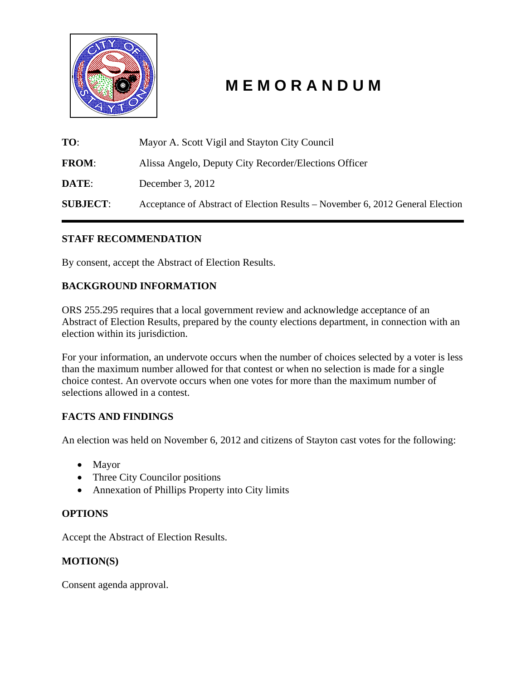

# **M E M O R A N D U M**

**TO**: Mayor A. Scott Vigil and Stayton City Council **FROM**: Alissa Angelo, Deputy City Recorder/Elections Officer **DATE:** December 3, 2012 **SUBJECT**: Acceptance of Abstract of Election Results – November 6, 2012 General Election

# **STAFF RECOMMENDATION**

By consent, accept the Abstract of Election Results.

# **BACKGROUND INFORMATION**

ORS 255.295 requires that a local government review and acknowledge acceptance of an Abstract of Election Results, prepared by the county elections department, in connection with an election within its jurisdiction.

For your information, an undervote occurs when the number of choices selected by a voter is less than the maximum number allowed for that contest or when no selection is made for a single choice contest. An overvote occurs when one votes for more than the maximum number of selections allowed in a contest.

# **FACTS AND FINDINGS**

An election was held on November 6, 2012 and citizens of Stayton cast votes for the following:

- Mayor
- Three City Councilor positions
- Annexation of Phillips Property into City limits

# **OPTIONS**

Accept the Abstract of Election Results.

# **MOTION(S)**

Consent agenda approval.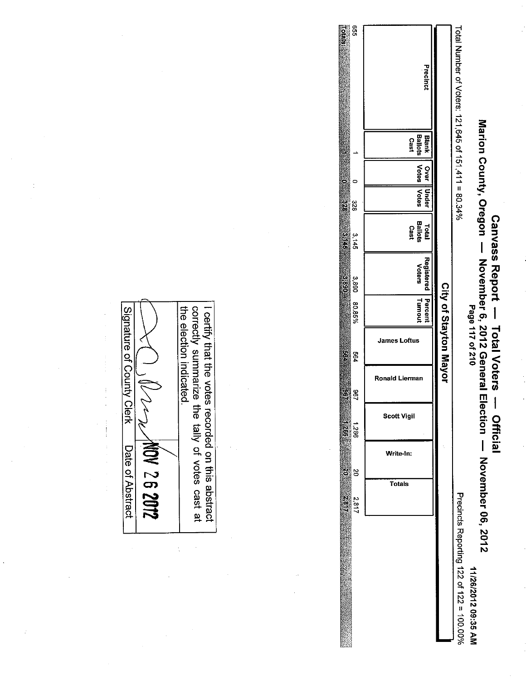|                                          | N<br>Eil<br>2.817          | g         | ត្ត :<br>និ និ     | 36<br>Ş        | 984                   | 80.85%             | 3,890<br><u>ය</u><br>ගි                           | $\frac{1}{9}$<br>3,145          | $\frac{\omega}{2}$<br>328      |                                 | 99<br>ក្ខិត<br>ទី                                   |
|------------------------------------------|----------------------------|-----------|--------------------|----------------|-----------------------|--------------------|---------------------------------------------------|---------------------------------|--------------------------------|---------------------------------|-----------------------------------------------------|
|                                          | Totals                     | Write-In: | <b>Scott Vigil</b> | Ronald Lierman | <b>James Loftus</b>   | Percent<br>Turnout | Registered<br><b>Voters</b>                       | Ballots<br>Cast<br><b>Total</b> | Votes   Votes<br>Over    Under | <b>Ballots</b><br>Blank<br>Cast | Precinct                                            |
|                                          |                            |           |                    |                | City of Stayton Mayor |                    |                                                   |                                 |                                |                                 |                                                     |
| Precincts Reporting 122 of 122 = 100.00% |                            |           |                    |                |                       |                    |                                                   |                                 |                                |                                 | Total Number of Voters: 121,645 of 151,411 = 80.34% |
| 11/26/2012 09:35 AM                      | ection - November 06, 2012 |           |                    |                | Page 117 of 210       |                    | Marion County, Oregon November 6, 2012 General El |                                 |                                |                                 |                                                     |

Canvass Report - Total Voters

- Official

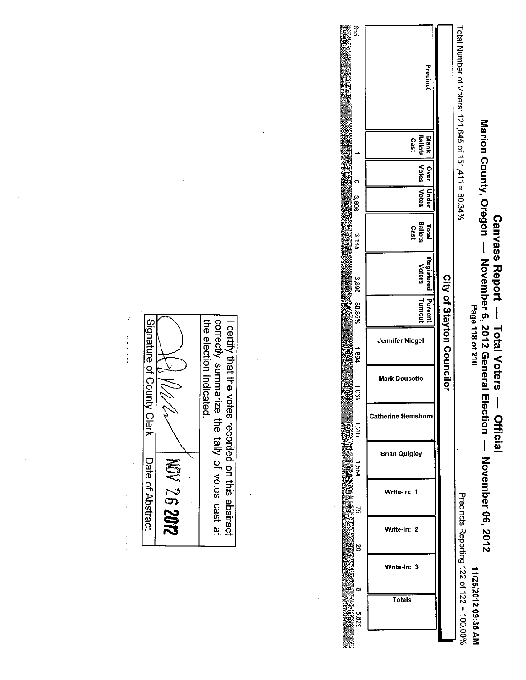|                                 |                                                                                                    |            | 955<br><b>Totals</b>     | Precinct                               |                           | Total Number of Voters: 121,645 of 151,411 = 80.34% |                                        |
|---------------------------------|----------------------------------------------------------------------------------------------------|------------|--------------------------|----------------------------------------|---------------------------|-----------------------------------------------------|----------------------------------------|
|                                 |                                                                                                    |            | ∸                        | <b>Ballots</b><br>Blank<br>Cast        |                           |                                                     | Marion County, Oregon                  |
|                                 |                                                                                                    |            | $\frac{1}{2}$<br>$\circ$ | <b>Votes</b><br>Over                   |                           |                                                     |                                        |
|                                 |                                                                                                    |            | 3.eos<br>$rac{3}{60}$    | Under<br>Votes                         |                           |                                                     |                                        |
|                                 |                                                                                                    |            | 3,145                    | <b>Ballots</b><br><b>Total</b><br>Cast |                           |                                                     |                                        |
|                                 |                                                                                                    |            | 3,890<br>3.890           | Registered<br>Voters                   |                           |                                                     | <b>Canvass Report</b>                  |
|                                 |                                                                                                    |            | 80.85%                   | Turnout<br>Percent                     |                           |                                                     |                                        |
| <b>Signature</b>                |                                                                                                    |            | ŝ<br>1.894               | Jennifer Niegel                        | City of Stayton Councilor |                                                     | Page 118 of 210<br><b>Total Voters</b> |
| ي'<br>County                    | the election indicated.<br>correctly summarize<br>certify that the votes recorded on this abstract |            | <b>TIGGT</b><br>1,001    | <b>Mark Doucette</b>                   |                           |                                                     | November 6, 2012 General Election      |
| Clerk                           |                                                                                                    |            | 4.207<br>107'1           | <b>Catherine Hemshorn</b>              |                           |                                                     | $\mathbf{I}$<br>Official               |
|                                 | the tally of votes                                                                                 | $\ddot{x}$ | 1.83<br>1,564            | <b>Brian Quigley</b>                   |                           |                                                     |                                        |
| Date of Abstract<br>NOV 26 2012 |                                                                                                    |            | $\mathbf{a}$<br><b>S</b> | Write-In: 1                            |                           |                                                     |                                        |
|                                 | cast at                                                                                            |            | $\frac{1}{2}$<br>ន       | Write-In: 2                            |                           | Precincts Reporting 122 of 122 = 100.00%            | - November 06, 2012                    |
|                                 |                                                                                                    |            | œ.                       | Write-In: 3                            |                           |                                                     |                                        |
|                                 |                                                                                                    |            | œ                        | <b>Totals</b>                          |                           |                                                     | 11/26/2012 09:35 AM                    |
|                                 |                                                                                                    |            | $\frac{9}{8}$<br>5,829   |                                        |                           |                                                     |                                        |

 $\bar{z}$ 

 $\ddot{\phantom{a}}$